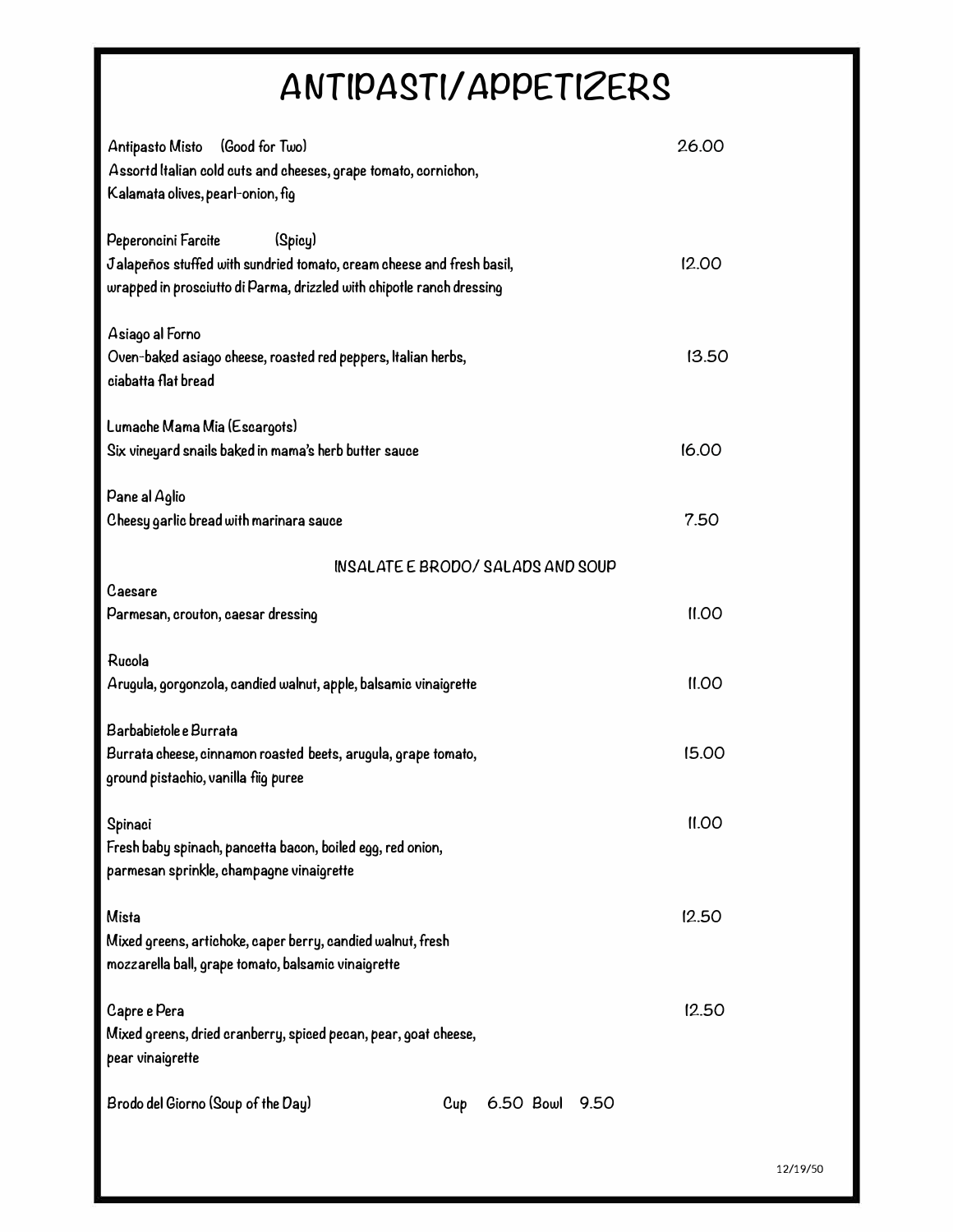## **ANTlPAgT(/ APPETl2ERg**

| Antipasto Misto<br>(Good for Two)<br>Assortd Italian cold cuts and cheeses, grape tomato, cornichon,<br>Kalamata olives, pearl-onion, fig                                        | 26.00 |
|----------------------------------------------------------------------------------------------------------------------------------------------------------------------------------|-------|
| (Spicy)<br>Peperoncini Farcite<br>Jalapeños stuffed with sundried tomato, cream cheese and fresh basil,<br>wrapped in prosciutto di Parma, drizzled with chipotle ranch dressing | 12.00 |
| Asiago al Forno<br>Oven-baked asiago cheese, roasted red peppers, Italian herbs,<br>ciabatta flat bread                                                                          | 13.50 |
| Lumache Mama Mia (Escargots)<br>Six vineyard snails baked in mama's herb butter sauce                                                                                            | 16.00 |
| Pane al Aglio<br>Cheesy garlic bread with marinara sauce                                                                                                                         | 7.50  |
| INSALATE E BRODO/SALADS AND SOUP                                                                                                                                                 |       |
| Caesare<br>Parmesan, crouton, caesar dressing                                                                                                                                    | II.00 |
| Rucola<br>Arugula, gorgonzola, candied walnut, apple, balsamic vinaigrette                                                                                                       | II.00 |
| Barbabietole e Burrata<br>Burrata cheese, cinnamon roasted beets, arugula, grape tomato,<br>ground pistachio, vanilla fiig puree                                                 | 15.00 |
| Spinaci<br>Fresh baby spinach, pancetta bacon, boiled egg, red onion,<br>parmesan sprinkle, champagne vinaigrette                                                                | II.00 |
| <b>Mista</b><br>Mixed greens, artichoke, caper berry, candied walnut, fresh<br>mozzarella ball, grape tomato, balsamic vinaigrette                                               | 12.50 |
| Capre e Pera<br>Mixed greens, dried cranberry, spiced pecan, pear, goat cheese,<br>pear vinaigrette                                                                              | 12.50 |
| Brodo del Giorno (Soup of the Day)<br>6.50 Bowl 9.50<br>Cup                                                                                                                      |       |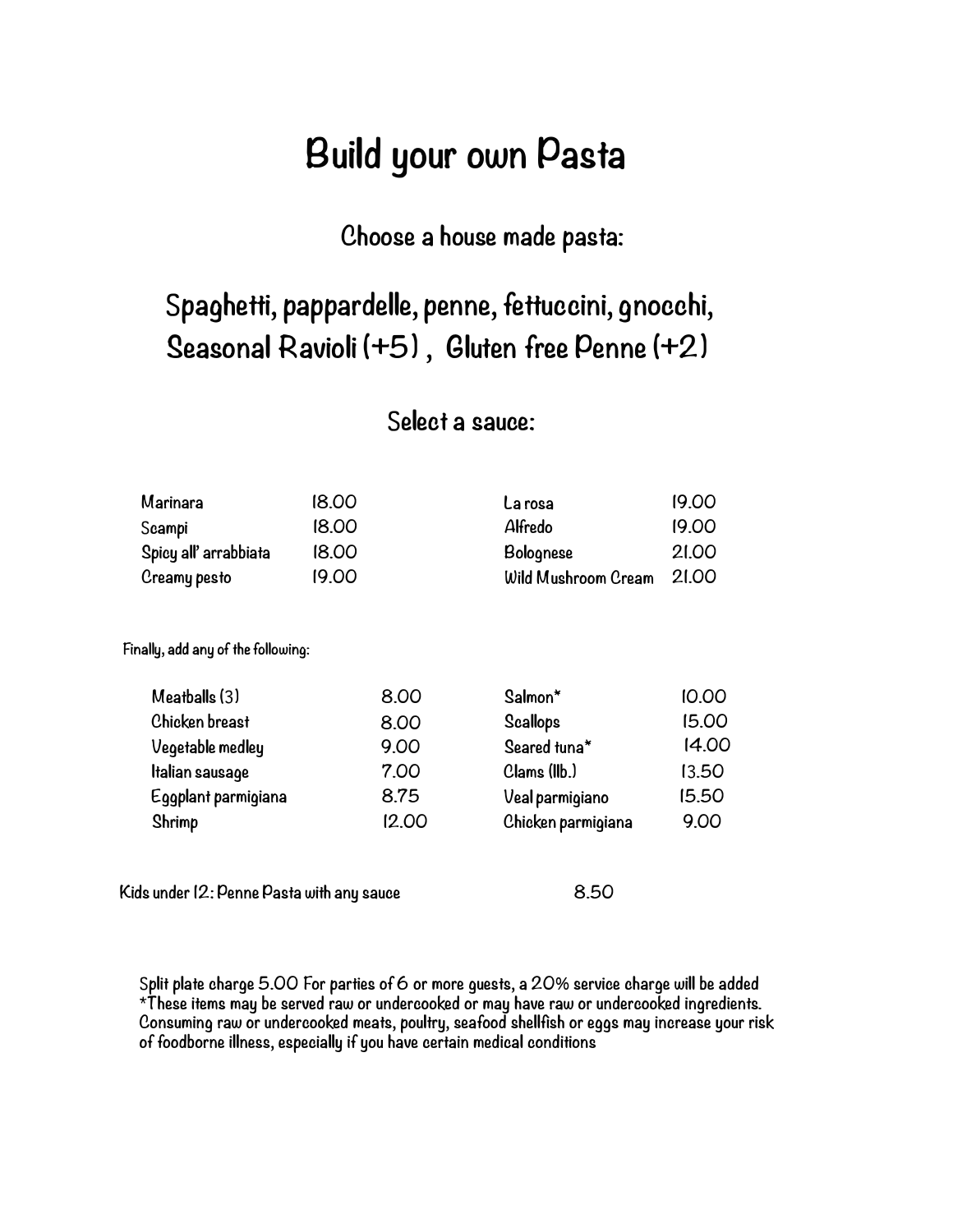### Build your own Pasta

### Choose a house made pasta:

### Spaghetti, pappardelle, penne, fettuccini, gnocchi, geasonal Ravioli (+5) , Gluten free Penne (+2)

#### Select a sauce:

| Marinara              | 18.00 | La rosa                   | 19.00 |
|-----------------------|-------|---------------------------|-------|
| Scampi                | 18.00 | Alfredo                   | 19.00 |
| Spicy all' arrabbiata | 18.00 | <b>Bolognese</b>          | 21.00 |
| Creamy pesto          | 19.00 | Wild Mushroom Cream 21.00 |       |

Finally, add any of the following:

| Meatballs (3)       | 8.00  | Salmon*            | 10.00 |
|---------------------|-------|--------------------|-------|
| Chicken breast      | 8.00  | <b>Scallops</b>    | 15.00 |
| Vegetable medley    | 9.00  | Seared tuna*       | 14.00 |
| Italian sausage     | 7.00  | Clams (IIb.)       | 13.50 |
| Eggplant parmigiana | 8.75  | Veal parmigiano    | 15.50 |
| Shrimp              | 12.00 | Chicken parmigiana | 9.00  |
|                     |       |                    |       |

Kids under 12: Penne Pasta with any sauce 8.50

Split plate charge 5.00 For parties of 6 or more quests, a 20% service charge will be added \*These items may be served raw or undercooked or may have raw or undercooked ingredients. Consuming raw or undercooked meats, poultry, seafood shellfish or eggs may increase your risk of foodborne illness, especially if you have certain medical conditions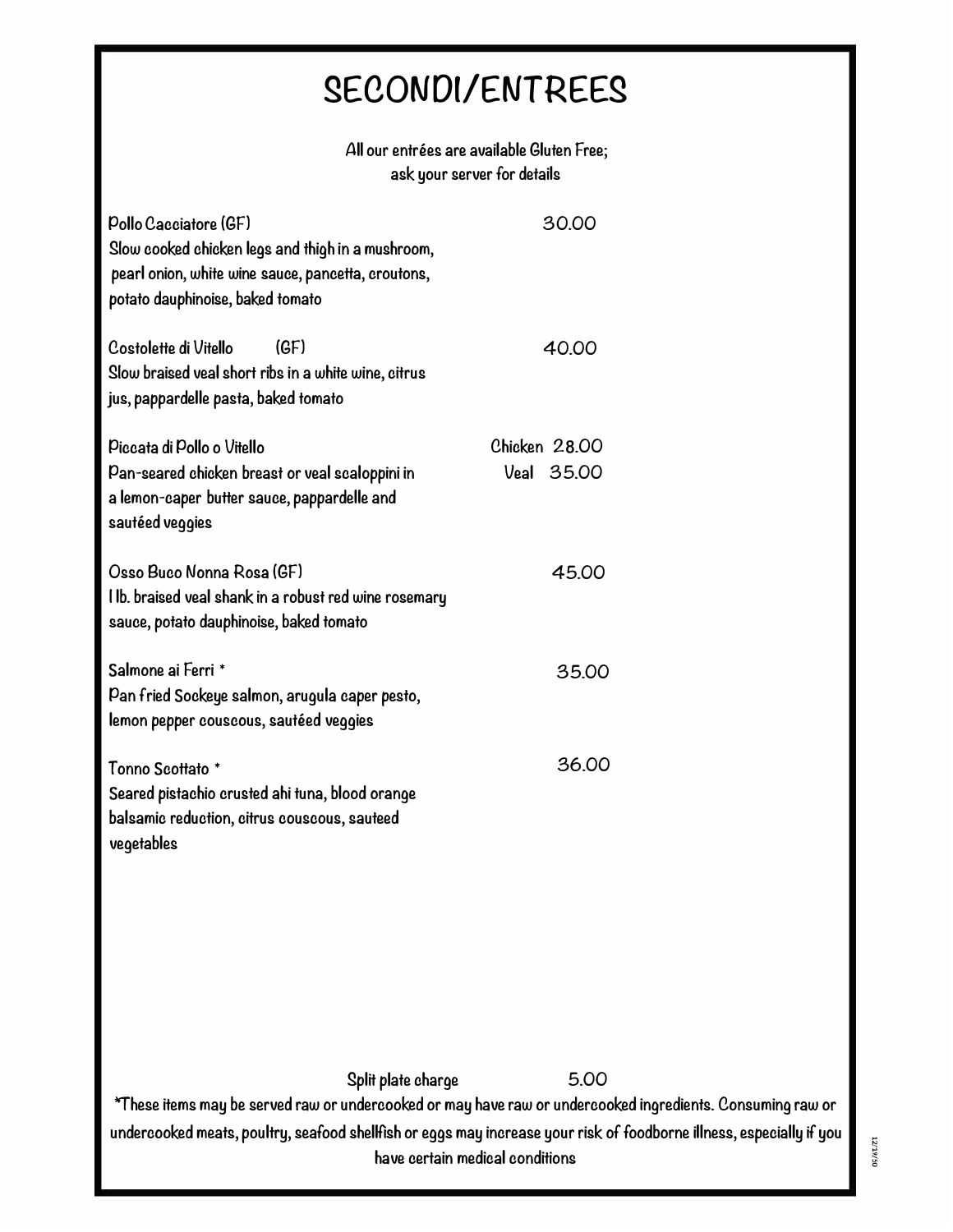## **gECONOI/ENTREEg**

| All our entrées are available Gluten Free; |
|--------------------------------------------|
| ask your server for details                |

| Pollo Cacciatore (GF)<br>Slow cooked chicken legs and thigh in a mushroom,<br>pearl onion, white wine sauce, pancetta, croutons,<br>potato dauphinoise, baked tomato | 30.00                       |
|----------------------------------------------------------------------------------------------------------------------------------------------------------------------|-----------------------------|
| Costolette di Vitello<br>(GF)<br>Slow braised veal short ribs in a white wine, citrus<br>jus, pappardelle pasta, baked tomato                                        | 40.00                       |
| Piccata di Pollo o Vitello<br>Pan-seared chicken breast or veal scaloppini in<br>a lemon-caper butter sauce, pappardelle and<br>sautéed veggies                      | Chicken 28.00<br>Veal 35,00 |
| Osso Buco Nonna Rosa (GF)<br>l lb. braised veal shank in a robust red wine rosemary<br>sauce, potato dauphinoise, baked tomato                                       | 45.00                       |
| Salmone ai Ferri *<br>Pan fried Sockeye salmon, arugula caper pesto,<br>lemon pepper couscous, sautéed veggies                                                       | 35.00                       |
| Tonno Scottato *<br>Seared pistachio crusted ahi tuna, blood orange<br>balsamic reduction, citrus couscous, sauteed<br>vegetables                                    | 36.00                       |

**gplit piafe charge 5.00 '1"hese items may be served raw or undercooked or may have raw or undercooked ingredients. Consuming raw or undercooked meats, poultry, seafood shellfish or eggs may increase your risk of foodborne illness, especially if you have certain medica! conditions** 

12/19/50